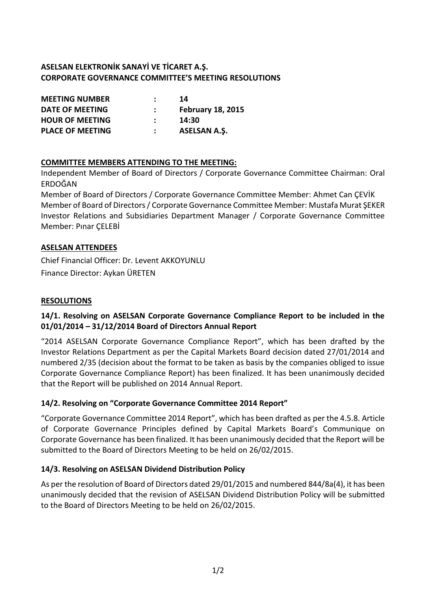## **ASELSAN ELEKTRONİK SANAYİ VE TİCARET A.Ş. CORPORATE GOVERNANCE COMMITTEE'S MEETING RESOLUTIONS**

| <b>MEETING NUMBER</b>   | 14                       |
|-------------------------|--------------------------|
| DATE OF MEETING         | <b>February 18, 2015</b> |
| <b>HOUR OF MEETING</b>  | 14:30                    |
| <b>PLACE OF MEETING</b> | <b>ASELSAN A.S.</b>      |

## **COMMITTEE MEMBERS ATTENDING TO THE MEETING:**

Independent Member of Board of Directors / Corporate Governance Committee Chairman: Oral ERDOĞAN

Member of Board of Directors / Corporate Governance Committee Member: Ahmet Can ÇEVİK Member of Board of Directors / Corporate Governance Committee Member: Mustafa Murat ŞEKER Investor Relations and Subsidiaries Department Manager / Corporate Governance Committee Member: Pınar ÇELEBİ

#### **ASELSAN ATTENDEES**

Chief Financial Officer: Dr. Levent AKKOYUNLU Finance Director: Aykan ÜRETEN

#### **RESOLUTIONS**

## **14/1. Resolving on ASELSAN Corporate Governance Compliance Report to be included in the 01/01/2014 – 31/12/2014 Board of Directors Annual Report**

"2014 ASELSAN Corporate Governance Compliance Report", which has been drafted by the Investor Relations Department as per the Capital Markets Board decision dated 27/01/2014 and numbered 2/35 (decision about the format to be taken as basis by the companies obliged to issue Corporate Governance Compliance Report) has been finalized. It has been unanimously decided that the Report will be published on 2014 Annual Report.

## **14/2. Resolving on "Corporate Governance Committee 2014 Report"**

"Corporate Governance Committee 2014 Report", which has been drafted as per the 4.5.8. Article of Corporate Governance Principles defined by Capital Markets Board's Communique on Corporate Governance has been finalized. It has been unanimously decided that the Report will be submitted to the Board of Directors Meeting to be held on 26/02/2015.

## **14/3. Resolving on ASELSAN Dividend Distribution Policy**

As per the resolution of Board of Directors dated 29/01/2015 and numbered 844/8a(4), it has been unanimously decided that the revision of ASELSAN Dividend Distribution Policy will be submitted to the Board of Directors Meeting to be held on 26/02/2015.